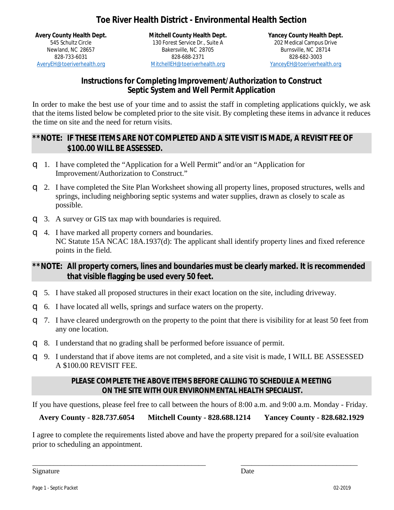## **Toe River Health District - Environmental Health Section**

**Avery County Health Dept.** 545 Schultz Circle Newland, NC 28657 828-733-6031 AveryEH@toeriverhealth.org

**Mitchell County Health Dept.** 130 Forest Service Dr., Suite A Bakersville, NC 28705 828-688-2371 MitchellEH@toeriverhealth.org

**Yancey County Health Dept.** 202 Medical Campus Drive Burnsville, NC 28714 828-682-3003 YanceyEH@toeriverhealth.org

### **Instructions for Completing Improvement/Authorization to Construct Septic System and Well Permit Application**

In order to make the best use of your time and to assist the staff in completing applications quickly, we ask that the items listed below be completed prior to the site visit. By completing these items in advance it reduces the time on site and the need for return visits.

### **\*\*NOTE: IF THESE ITEMS ARE NOT COMPLETED AND A SITE VISIT IS MADE, A REVISIT FEE OF \$100.00 WILL BE ASSESSED.**

- q 1. I have completed the "Application for a Well Permit" and/or an "Application for Improvement/Authorization to Construct."
- q 2. I have completed the Site Plan Worksheet showing all property lines, proposed structures, wells and springs, including neighboring septic systems and water supplies, drawn as closely to scale as possible.
- q 3. A survey or GIS tax map with boundaries is required.
- q 4. I have marked all property corners and boundaries. NC Statute 15A NCAC 18A.1937(d): The applicant shall identify property lines and fixed reference points in the field.

### **\*\*NOTE: All property corners, lines and boundaries must be clearly marked. It is recommended that visible flagging be used every 50 feet.**

- q 5. I have staked all proposed structures in their exact location on the site, including driveway.
- q 6. I have located all wells, springs and surface waters on the property.
- q 7. I have cleared undergrowth on the property to the point that there is visibility for at least 50 feet from any one location.
- q 8. I understand that no grading shall be performed before issuance of permit.
- q 9. I understand that if above items are not completed, and a site visit is made, I WILL BE ASSESSED A \$100.00 REVISIT FEE.

### **PLEASE COMPLETE THE ABOVE ITEMS BEFORE CALLING TO SCHEDULE A MEETING ON THE SITE WITH OUR ENVIRONMENTAL HEALTH SPECIALIST.**

If you have questions, please feel free to call between the hours of 8:00 a.m. and 9:00 a.m. Monday - Friday.

**Avery County - 828.737.6054 Mitchell County - 828.688.1214 Yancey County - 828.682.1929**

I agree to complete the requirements listed above and have the property prepared for a soil/site evaluation prior to scheduling an appointment.

\_\_\_\_\_\_\_\_\_\_\_\_\_\_\_\_\_\_\_\_\_\_\_\_\_\_\_\_\_\_\_\_\_\_\_\_\_\_\_\_\_\_\_\_\_\_\_\_\_ \_\_\_\_\_\_\_\_\_\_\_\_\_\_\_\_\_\_\_\_\_\_\_\_\_\_\_\_\_\_\_\_\_

Signature Date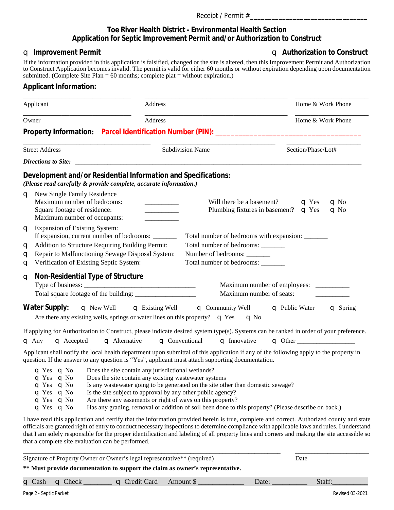#### **Toe River Health District - Environmental Health Section Application for Septic Improvement Permit and/or Authorization to Construct**

q **Improvement Permit** q **Authorization to Construct**

If the information provided in this application is falsified, changed or the site is altered, then this Improvement Permit and Authorization to Construct Application becomes invalid. The permit is valid for either 60 months or without expiration depending upon documentation submitted. (Complete Site Plan =  $60$  months; complete plat = without expiration.)

#### **Applicant Information:**

| Applicant                                                                                                                                                                                                                                                | <b>Address</b>                                                                                                                                                             |                                                                                                                                                                                                                                                                                                                                                                                                                                       | Home & Work Phone                                      |
|----------------------------------------------------------------------------------------------------------------------------------------------------------------------------------------------------------------------------------------------------------|----------------------------------------------------------------------------------------------------------------------------------------------------------------------------|---------------------------------------------------------------------------------------------------------------------------------------------------------------------------------------------------------------------------------------------------------------------------------------------------------------------------------------------------------------------------------------------------------------------------------------|--------------------------------------------------------|
| Owner<br>Address                                                                                                                                                                                                                                         |                                                                                                                                                                            |                                                                                                                                                                                                                                                                                                                                                                                                                                       | Home & Work Phone                                      |
|                                                                                                                                                                                                                                                          |                                                                                                                                                                            |                                                                                                                                                                                                                                                                                                                                                                                                                                       |                                                        |
| <b>Street Address</b>                                                                                                                                                                                                                                    |                                                                                                                                                                            | <b>Subdivision Name</b>                                                                                                                                                                                                                                                                                                                                                                                                               | Section/Phase/Lot#                                     |
|                                                                                                                                                                                                                                                          |                                                                                                                                                                            |                                                                                                                                                                                                                                                                                                                                                                                                                                       |                                                        |
| Development and/or Residential Information and Specifications:<br>(Please read carefully & provide complete, accurate information.)                                                                                                                      |                                                                                                                                                                            |                                                                                                                                                                                                                                                                                                                                                                                                                                       |                                                        |
| <b>q</b> New Single Family Residence<br>Maximum number of bedrooms:<br>Square footage of residence:<br>Maximum number of occupants:                                                                                                                      |                                                                                                                                                                            | Will there be a basement?<br>Plumbing fixtures in basement? $\bullet$ Yes                                                                                                                                                                                                                                                                                                                                                             | $\mathbf{q}$ No<br>$\mathbf{q}$ Yes<br>$\mathbf{q}$ No |
| <b>Expansion of Existing System:</b><br>q<br>If expansion, current number of bedrooms:<br>Addition to Structure Requiring Building Permit:<br>q<br>Repair to Malfunctioning Sewage Disposal System:<br>q<br>Verification of Existing Septic System:<br>q |                                                                                                                                                                            | Total number of bedrooms with expansion: ________<br>Total number of bedrooms: _______<br>Number of bedrooms:<br>Total number of bedrooms: ______                                                                                                                                                                                                                                                                                     |                                                        |
| Non-Residential Type of Structure<br>q                                                                                                                                                                                                                   |                                                                                                                                                                            | Maximum number of seats:                                                                                                                                                                                                                                                                                                                                                                                                              |                                                        |
| <b>Water Supply:</b><br>Are there any existing wells, springs or water lines on this property? $\bullet$ Yes                                                                                                                                             |                                                                                                                                                                            | <b>q</b> New Well <b>q</b> Existing Well <b>q</b> Community Well <b>q</b> Public Water<br>$\mathbf{q}$ No                                                                                                                                                                                                                                                                                                                             | <b>q</b> Spring                                        |
| $\mathbf{q}$ Any<br><b>q</b> Accepted                                                                                                                                                                                                                    | <b>q</b> Alternative                                                                                                                                                       | If applying for Authorization to Construct, please indicate desired system type(s). Systems can be ranked in order of your preference.<br><b>q</b> Conventional<br><b>q</b> Innovative                                                                                                                                                                                                                                                |                                                        |
|                                                                                                                                                                                                                                                          |                                                                                                                                                                            | Applicant shall notify the local health department upon submittal of this application if any of the following apply to the property in<br>question. If the answer to any question is "Yes", applicant must attach supporting documentation.                                                                                                                                                                                           |                                                        |
| q Yes q No<br>$\mathbf{q}$ Yes $\mathbf{q}$ No<br>$\mathbf{q}$ Yes $\mathbf{q}$ No<br>$\mathbf{q}$ Yes $\mathbf{q}$ No<br>q Yes $q$ No<br>$\mathbf{q}$ Yes $\mathbf{q}$ No                                                                               | Does the site contain any jurisdictional wetlands?<br>Does the site contain any existing wastewater systems<br>Is the site subject to approval by any other public agency? | Is any was tewater going to be generated on the site other than domestic sewage?<br>Are there any easements or right of ways on this property?<br>Has any grading, removal or addition of soil been done to this property? (Please describe on back.)                                                                                                                                                                                 |                                                        |
|                                                                                                                                                                                                                                                          |                                                                                                                                                                            | I have read this application and certify that the information provided herein is true, complete and correct. Authorized county and state<br>officials are granted right of entry to conduct necessary inspections to determine compliance with applicable laws and rules. I understand<br>that I am solely responsible for the proper identification and labeling of all property lines and corners and making the site accessible so |                                                        |

that a complete site evaluation can be performed.

\_\_\_\_\_\_\_\_\_\_\_\_\_\_\_\_\_\_\_\_\_\_\_\_\_\_\_\_\_\_\_\_\_\_\_\_\_\_\_\_\_\_\_\_\_\_\_\_\_\_\_\_\_\_\_\_\_\_\_\_\_\_\_\_\_\_\_\_\_\_\_\_\_\_\_\_\_\_\_\_ \_\_\_\_\_\_\_\_\_\_\_\_\_\_\_\_\_\_\_\_\_\_\_ Signature of Property Owner or Owner's legal representative\*\* (required) Date

#### **\*\* Must provide documentation to support the claim as owner's representative.**

|  | $\bullet$ Cash $\bullet$ Check |  | <b>q</b> Credit Card | Amount \$ | Date: | Staff: |
|--|--------------------------------|--|----------------------|-----------|-------|--------|
|--|--------------------------------|--|----------------------|-----------|-------|--------|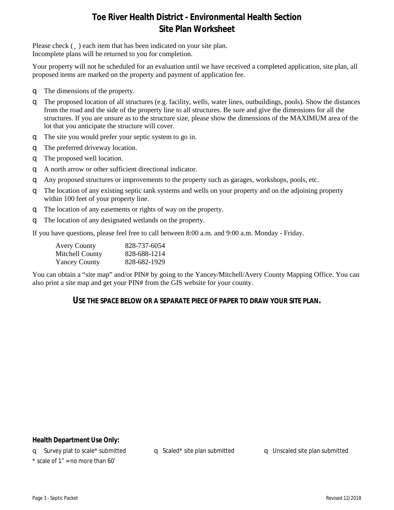## **Toe River Health District - Environmental Health Section Site Plan Worksheet**

Please check  $(\ddot{\mathbf{u}})$  each item that has been indicated on your site plan. Incomplete plans will be returned to you for completion.

Your property will not be scheduled for an evaluation until we have received a completed application, site plan, all proposed items are marked on the property and payment of application fee.

- q The dimensions of the property.
- q The proposed location of all structures (e.g. facility, wells, water lines, outbuildings, pools). Show the distances from the road and the side of the property line to all structures. Be sure and give the dimensions for all the structures. If you are unsure as to the structure size, please show the dimensions of the MAXIMUM area of the lot that you anticipate the structure will cover.
- q The site you would prefer your septic system to go in.
- q The preferred driveway location.
- q The proposed well location.
- q A north arrow or other sufficient directional indicator.
- q Any proposed structures or improvements to the property such as garages, workshops, pools, etc.
- q The location of any existing septic tank systems and wells on your property and on the adjoining property within 100 feet of your property line.
- q The location of any easements or rights of way on the property.
- q The location of any designated wetlands on the property.

If you have questions, please feel free to call between 8:00 a.m. and 9:00 a.m. Monday - Friday.

| <b>Avery County</b>  | 828-737-6054 |
|----------------------|--------------|
| Mitchell County      | 828-688-1214 |
| <b>Yancey County</b> | 828-682-1929 |

You can obtain a "site map" and/or PIN# by going to the Yancey/Mitchell/Avery County Mapping Office. You can also print a site map and get your PIN# from the GIS website for your county.

### **USE THE SPACE BELOW OR A SEPARATE PIECE OF PAPER TO DRAW YOUR SITE PLAN.**

#### **Health Department Use Only:**

q Survey plat to scale\* submitted q Scaled\* site plan submitted q Unscaled site plan submitted  $*$  scale of 1" = no more than 60'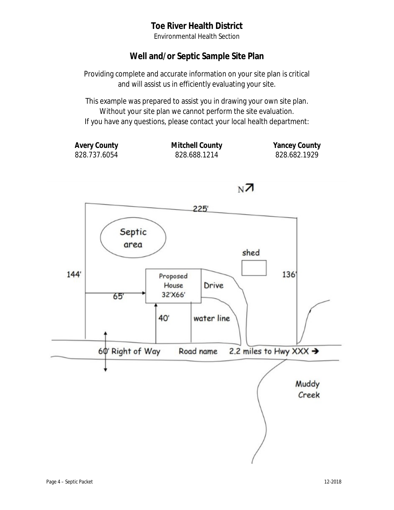## **Toe River Health District**

Environmental Health Section

## **Well and/or Septic Sample Site Plan**

Providing complete and accurate information on your site plan is critical and will assist us in efficiently evaluating your site.

This example was prepared to assist you in drawing your own site plan. Without your site plan we cannot perform the site evaluation. If you have any questions, please contact your local health department:

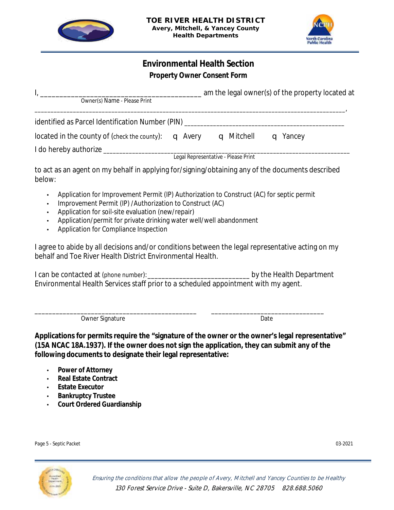



### **Environmental Health Section Property Owner Consent Form**

| Owner(s) Name - Please Print                              |                                     | am the legal owner(s) of the property located at |  |
|-----------------------------------------------------------|-------------------------------------|--------------------------------------------------|--|
| identified as Parcel Identification Number (PIN)          |                                     |                                                  |  |
| located in the county of (check the county): $\Box$ Avery | <b>q</b> Mitchell                   | <b>q</b> Yancey                                  |  |
| I do hereby authorize __                                  | Legal Representative - Please Print |                                                  |  |

to act as an agent on my behalf in applying for/signing/obtaining any of the documents described below:

- Application for Improvement Permit (IP) Authorization to Construct (AC) for septic permit
- Improvement Permit (IP) /Authorization to Construct (AC)
- Application for soil-site evaluation (new/repair)
- Application/permit for private drinking water well/well abandonment
- Application for Compliance Inspection

I agree to abide by all decisions and/or conditions between the legal representative acting on my behalf and Toe River Health District Environmental Health.

I can be contacted at (phone number): example at  $\mathbf{b}$  by the Health Department Environmental Health Services staff prior to a scheduled appointment with my agent.

\_\_\_\_\_\_\_\_\_\_\_\_\_\_\_\_\_\_\_\_\_\_\_\_\_\_\_\_\_\_\_\_\_\_\_\_\_\_\_\_\_\_\_\_\_\_ \_\_\_\_\_\_\_\_\_\_\_\_\_\_\_\_\_\_\_\_\_\_\_\_\_\_\_\_\_\_\_\_ Owner Signature Date

**Applications for permits require the "signature of the owner or the owner's legal representative" (15A NCAC 18A.1937). If the owner does not sign the application, they can submit any of the following documents to designate their legal representative:**

- **Power of Attorney**
- **Real Estate Contract**
- **Estate Executor**
- **Bankruptcy Trustee**
- **Court Ordered Guardianship**

Page 5 - Septic Packet 03-2021 No. 2008 12:00:00 03-2021 No. 2014 12:00:00 03-2021 No. 2014 12:00:00 03-2021 03-2021

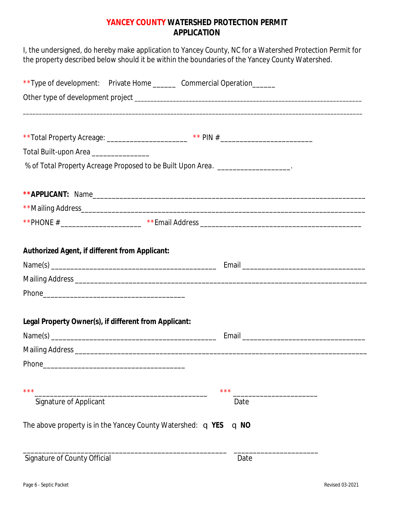### **YANCEY COUNTY WATERSHED PROTECTION PERMIT APPLICATION**

I, the undersigned, do hereby make application to Yancey County, NC for a Watershed Protection Permit for the property described below should it be within the boundaries of the Yancey County Watershed. \*\*Type of development: Private Home \_\_\_\_\_\_\_ Commercial Operation\_\_\_\_\_\_ Other type of development project \_\_\_\_\_\_\_\_\_\_\_\_\_\_\_\_\_\_\_\_\_\_\_\_\_\_\_\_\_\_\_\_\_\_\_\_\_\_\_\_\_\_\_\_\_\_\_\_\_\_\_\_\_\_\_\_\_\_\_\_\_\_\_\_\_\_\_\_\_\_\_ \_\_\_\_\_\_\_\_\_\_\_\_\_\_\_\_\_\_\_\_\_\_\_\_\_\_\_\_\_\_\_\_\_\_\_\_\_\_\_\_\_\_\_\_\_\_\_\_\_\_\_\_\_\_\_\_\_\_\_\_\_\_\_\_\_\_\_\_\_\_\_\_\_\_\_\_\_\_\_\_\_\_\_\_\_\_\_\_\_\_\_\_\_\_\_\_\_\_\_\_\_\_\_\_\_\_ \*\*Total Property Acreage: \_\_\_\_\_\_\_\_\_\_\_\_\_\_\_\_\_\_\_\_\_\_ \*\* PIN # \_\_\_\_\_\_\_\_\_\_\_\_\_\_\_\_\_\_\_\_\_\_\_ Total Built-upon Area \_\_\_\_\_\_\_\_\_\_\_\_\_\_\_\_\_\_ *% of Total Property Acreage Proposed to be Built Upon Area. \_\_\_\_\_\_\_\_\_\_\_\_\_\_\_\_\_\_\_.* **\*\*APPLICANT:** Name\_\_\_\_\_\_\_\_\_\_\_\_\_\_\_\_\_\_\_\_\_\_\_\_\_\_\_\_\_\_\_\_\_\_\_\_\_\_\_\_\_\_\_\_\_\_\_\_\_\_\_\_\_\_\_\_\_\_\_\_\_\_\_\_\_\_\_\_\_\_\_ \*\*Mailing Address \*\*PHONE #  $*$  \* Email Address  $*$ **Authorized Agent, if different from Applicant:** Name(s) \_\_\_\_\_\_\_\_\_\_\_\_\_\_\_\_\_\_\_\_\_\_\_\_\_\_\_\_\_\_\_\_\_\_\_\_\_\_\_\_\_\_\_ Email \_\_\_\_\_\_\_\_\_\_\_\_\_\_\_\_\_\_\_\_\_\_\_\_\_\_\_\_\_\_\_\_ Mailing Address **Exercise 20** Phone  $\blacksquare$ **Legal Property Owner(s), if different from Applicant:** Name(s) \_\_\_\_\_\_\_\_\_\_\_\_\_\_\_\_\_\_\_\_\_\_\_\_\_\_\_\_\_\_\_\_\_\_\_\_\_\_\_\_\_\_\_ Email \_\_\_\_\_\_\_\_\_\_\_\_\_\_\_\_\_\_\_\_\_\_\_\_\_\_\_\_\_\_\_\_ Mailing Address \_\_\_\_\_\_\_\_\_\_\_\_\_\_\_\_\_\_\_\_\_\_\_\_\_\_\_\_\_\_\_\_\_\_\_\_\_\_\_\_\_\_\_\_\_\_\_\_\_\_\_\_\_\_\_\_\_\_\_\_\_\_\_\_\_\_\_\_\_\_\_\_\_\_\_\_ Phone  $\blacksquare$ 

\*\*\*\_\_\_\_\_\_\_\_\_\_\_\_\_\_\_\_\_\_\_\_\_\_\_\_\_\_\_\_\_\_\_\_\_\_\_\_\_\_\_\_\_\_\_\_\_ \*\*\* \_\_\_\_\_\_\_\_\_\_\_\_\_\_\_\_\_\_\_\_\_\_ Signature of Applicant Date Date Date The above property is in the Yancey County Watershed: **q** YES **q** NO \_\_\_\_\_\_\_\_\_\_\_\_\_\_\_\_\_\_\_\_\_\_\_\_\_\_\_\_\_\_\_\_\_\_\_\_\_\_\_\_\_\_\_\_\_\_\_\_\_\_\_\_\_ \_\_\_\_\_\_\_\_\_\_\_\_\_\_\_\_\_\_\_\_\_\_

| Signature of County Official | Date |
|------------------------------|------|
|------------------------------|------|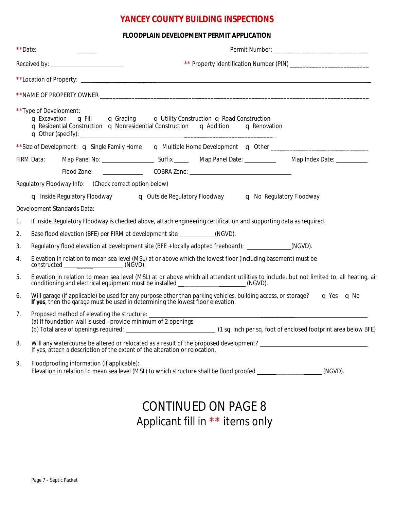### **YANCEY COUNTY BUILDING INSPECTIONS**

#### **FLOODPLAIN DEVELOPMENT PERMIT APPLICATION**

|    |                                                                                                                                                             | **Type of Development:<br>q Excavation q Fill q Grading q Utility Construction q Road Construction<br><b>q</b> Residential Construction $\bullet$ Nonresidential Construction $\bullet$ Addition $\bullet$ Renovation |  |  |  |                                                                                                                                                                                                                                    |
|----|-------------------------------------------------------------------------------------------------------------------------------------------------------------|-----------------------------------------------------------------------------------------------------------------------------------------------------------------------------------------------------------------------|--|--|--|------------------------------------------------------------------------------------------------------------------------------------------------------------------------------------------------------------------------------------|
|    |                                                                                                                                                             |                                                                                                                                                                                                                       |  |  |  | **Size of Development: <b>q</b> Single Family Home <b>q</b> Multiple Home Development <b>q</b> Other ______________________________                                                                                                |
|    |                                                                                                                                                             |                                                                                                                                                                                                                       |  |  |  |                                                                                                                                                                                                                                    |
|    |                                                                                                                                                             |                                                                                                                                                                                                                       |  |  |  |                                                                                                                                                                                                                                    |
|    |                                                                                                                                                             | Regulatory Floodway Info: (Check correct option below)                                                                                                                                                                |  |  |  |                                                                                                                                                                                                                                    |
|    |                                                                                                                                                             | q Inside Regulatory Floodway q Outside Regulatory Floodway q No Regulatory Floodway                                                                                                                                   |  |  |  |                                                                                                                                                                                                                                    |
|    |                                                                                                                                                             | Development Standards Data:                                                                                                                                                                                           |  |  |  |                                                                                                                                                                                                                                    |
| 1. |                                                                                                                                                             | If Inside Regulatory Floodway is checked above, attach engineering certification and supporting data as required.                                                                                                     |  |  |  |                                                                                                                                                                                                                                    |
| 2. |                                                                                                                                                             | Base flood elevation (BFE) per FIRM at development site _____________(NGVD).                                                                                                                                          |  |  |  |                                                                                                                                                                                                                                    |
| 3. |                                                                                                                                                             | Regulatory flood elevation at development site (BFE + locally adopted freeboard): ____________(NGVD).                                                                                                                 |  |  |  |                                                                                                                                                                                                                                    |
| 4. | Elevation in relation to mean sea level (MSL) at or above which the lowest floor (including basement) must be<br>constructed _______________________(NGVD). |                                                                                                                                                                                                                       |  |  |  |                                                                                                                                                                                                                                    |
| 5. |                                                                                                                                                             |                                                                                                                                                                                                                       |  |  |  | Elevation in relation to mean sea level (MSL) at or above which all attendant utilities to include, but not limited to, all heating, air conditioning and electrical equipment must be installed _____________________(NGVD).      |
| 6. |                                                                                                                                                             |                                                                                                                                                                                                                       |  |  |  | Will garage (if applicable) be used for any purpose other than parking vehicles, building access, or storage? $\blacksquare$ Yes $\blacksquare$ No If yes, then the garage must be used in determining the lowest floor elevation. |
| 7. |                                                                                                                                                             | (a) If foundation wall is used - provide minimum of 2 openings<br>(b) Total area of openings required:                                                                                                                |  |  |  | (1 sq. inch per sq. foot of enclosed footprint area below BFE)                                                                                                                                                                     |
| 8. |                                                                                                                                                             | If yes, attach a description of the extent of the alteration or relocation.                                                                                                                                           |  |  |  |                                                                                                                                                                                                                                    |
| 9. |                                                                                                                                                             | Floodproofing information (if applicable):<br>Elevation in relation to mean sea level (MSL) to which structure shall be flood proofed __________________(NGVD).                                                       |  |  |  |                                                                                                                                                                                                                                    |
|    |                                                                                                                                                             |                                                                                                                                                                                                                       |  |  |  |                                                                                                                                                                                                                                    |

# CONTINUED ON PAGE 8 Applicant fill in \*\* items only